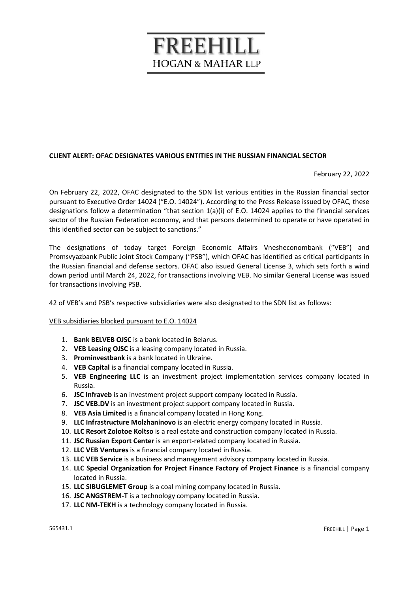# **FREEHILL HOGAN & MAHAR LLP**

## **CLIENT ALERT: OFAC DESIGNATES VARIOUS ENTITIES IN THE RUSSIAN FINANCIAL SECTOR**

February 22, 2022

On February 22, 2022, OFAC designated to the SDN list various entities in the Russian financial sector pursuant to Executive Order 14024 ("E.O. 14024"). According to the Press Release issued by OFAC, these designations follow a determination "that section 1(a)(i) of E.O. 14024 applies to the financial services sector of the Russian Federation economy, and that persons determined to operate or have operated in this identified sector can be subject to sanctions."

The designations of today target Foreign Economic Affairs Vnesheconombank ("VEB") and Promsvyazbank Public Joint Stock Company ("PSB"), which OFAC has identified as critical participants in the Russian financial and defense sectors. OFAC also issued General License 3, which sets forth a wind down period until March 24, 2022, for transactions involving VEB. No similar General License was issued for transactions involving PSB.

42 of VEB's and PSB's respective subsidiaries were also designated to the SDN list as follows:

### VEB subsidiaries blocked pursuant to E.O. 14024

- 1. **Bank BELVEB OJSC** is a bank located in Belarus.
- 2. **VEB Leasing OJSC** is a leasing company located in Russia.
- 3. **Prominvestbank** is a bank located in Ukraine.
- 4. **VEB Capital** is a financial company located in Russia.
- 5. **VEB Engineering LLC** is an investment project implementation services company located in Russia.
- 6. **JSC Infraveb** is an investment project support company located in Russia.
- 7. **JSC VEB.DV** is an investment project support company located in Russia.
- 8. **VEB Asia Limited** is a financial company located in Hong Kong.
- 9. **LLC Infrastructure Molzhaninovo** is an electric energy company located in Russia.
- 10. **LLC Resort Zolotoe Koltso** is a real estate and construction company located in Russia.
- 11. **JSC Russian Export Center** is an export-related company located in Russia.
- 12. **LLC VEB Ventures** is a financial company located in Russia.
- 13. **LLC VEB Service** is a business and management advisory company located in Russia.
- 14. **LLC Special Organization for Project Finance Factory of Project Finance** is a financial company located in Russia.
- 15. **LLC SIBUGLEMET Group** is a coal mining company located in Russia.
- 16. **JSC ANGSTREM-T** is a technology company located in Russia.
- 17. **LLC NM-TEKH** is a technology company located in Russia.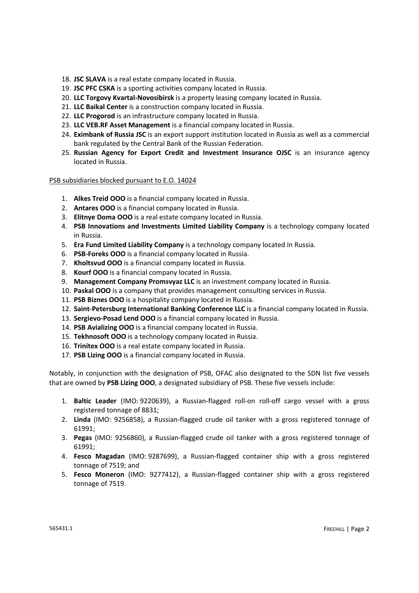- 18. **JSC SLAVA** is a real estate company located in Russia.
- 19. **JSC PFC CSKA** is a sporting activities company located in Russia.
- 20. **LLC Torgovy Kvartal-Novosibirsk** is a property leasing company located in Russia.
- 21. **LLC Baikal Center** is a construction company located in Russia.
- 22. **LLC Progorod** is an infrastructure company located in Russia.
- 23. **LLC VEB.RF Asset Management** is a financial company located in Russia.
- 24. **Eximbank of Russia JSC** is an export support institution located in Russia as well as a commercial bank regulated by the Central Bank of the Russian Federation.
- 25. **Russian Agency for Export Credit and Investment Insurance OJSC** is an insurance agency located in Russia.

PSB subsidiaries blocked pursuant to E.O. 14024

- 1. **Alkes Treid OOO** is a financial company located in Russia.
- 2. **Antares OOO** is a financial company located in Russia.
- 3. **Elitnye Doma OOO** is a real estate company located in Russia.
- 4. **PSB Innovations and Investments Limited Liability Company** is a technology company located in Russia.
- 5. **Era Fund Limited Liability Company** is a technology company located in Russia.
- 6. **PSB-Foreks OOO** is a financial company located in Russia.
- 7. **Kholtsvud OOO** is a financial company located in Russia.
- 8. **Kourf OOO** is a financial company located in Russia.
- 9. **Management Company Promsvyaz LLC** is an investment company located in Russia.
- 10. **Paskal OOO** is a company that provides management consulting services in Russia.
- 11. **PSB Biznes OOO** is a hospitality company located in Russia.
- 12. **Saint-Petersburg International Banking Conference LLC** is a financial company located in Russia.
- 13. **Sergievo-Posad Lend OOO** is a financial company located in Russia.
- 14. **PSB Avializing OOO** is a financial company located in Russia.
- 15. **Tekhnosoft OOO** is a technology company located in Russia.
- 16. **Trinitex OOO** is a real estate company located in Russia.
- 17. **PSB Lizing OOO** is a financial company located in Russia.

Notably, in conjunction with the designation of PSB, OFAC also designated to the SDN list five vessels that are owned by **PSB Lizing OOO**, a designated subsidiary of PSB. These five vessels include:

- 1. **Baltic Leader** (IMO: 9220639), a Russian-flagged roll-on roll-off cargo vessel with a gross registered tonnage of 8831;
- 2. **Linda** (IMO: 9256858), a Russian-flagged crude oil tanker with a gross registered tonnage of 61991;
- 3. **Pegas** (IMO: 9256860), a Russian-flagged crude oil tanker with a gross registered tonnage of 61991;
- 4. **Fesco Magadan** (IMO: 9287699), a Russian-flagged container ship with a gross registered tonnage of 7519; and
- 5. **Fesco Moneron** (IMO: 9277412), a Russian-flagged container ship with a gross registered tonnage of 7519.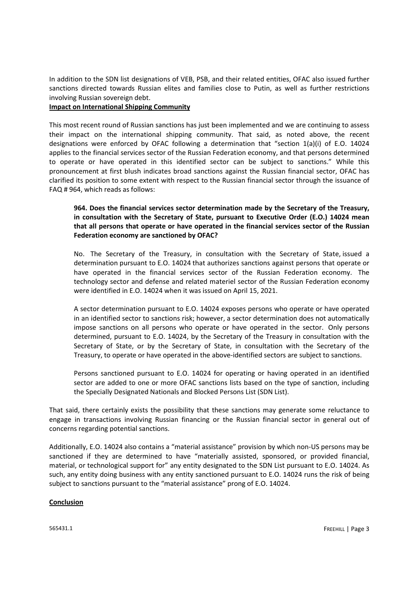In addition to the SDN list designations of VEB, PSB, and their related entities, OFAC also issued further sanctions directed towards Russian elites and families close to Putin, as well as further restrictions involving Russian sovereign debt.

### **Impact on International Shipping Community**

This most recent round of Russian sanctions has just been implemented and we are continuing to assess their impact on the international shipping community. That said, as noted above, the recent designations were enforced by OFAC following a determination that "section 1(a)(i) of E.O. 14024 applies to the financial services sector of the Russian Federation economy, and that persons determined to operate or have operated in this identified sector can be subject to sanctions." While this pronouncement at first blush indicates broad sanctions against the Russian financial sector, OFAC has clarified its position to some extent with respect to the Russian financial sector through the issuance of FAQ # 964, which reads as follows:

**964. Does the financial services sector determination made by the Secretary of the Treasury, in consultation with the Secretary of State, pursuant to Executive Order (E.O.) 14024 mean that all persons that operate or have operated in the financial services sector of the Russian Federation economy are sanctioned by OFAC?** 

No. The Secretary of the Treasury, in consultation with the Secretary of State, issued a determination pursuant to E.O. 14024 that authorizes sanctions against persons that operate or have operated in the financial services sector of the Russian Federation economy. The technology sector and defense and related materiel sector of the Russian Federation economy were identified in E.O. 14024 when it was issued on April 15, 2021.

A sector determination pursuant to E.O. 14024 exposes persons who operate or have operated in an identified sector to sanctions risk; however, a sector determination does not automatically impose sanctions on all persons who operate or have operated in the sector. Only persons determined, pursuant to E.O. 14024, by the Secretary of the Treasury in consultation with the Secretary of State, or by the Secretary of State, in consultation with the Secretary of the Treasury, to operate or have operated in the above-identified sectors are subject to sanctions.

Persons sanctioned pursuant to E.O. 14024 for operating or having operated in an identified sector are added to one or more OFAC sanctions lists based on the type of sanction, including the Specially Designated Nationals and Blocked Persons List (SDN List).

That said, there certainly exists the possibility that these sanctions may generate some reluctance to engage in transactions involving Russian financing or the Russian financial sector in general out of concerns regarding potential sanctions.

Additionally, E.O. 14024 also contains a "material assistance" provision by which non-US persons may be sanctioned if they are determined to have "materially assisted, sponsored, or provided financial, material, or technological support for" any entity designated to the SDN List pursuant to E.O. 14024. As such, any entity doing business with any entity sanctioned pursuant to E.O. 14024 runs the risk of being subject to sanctions pursuant to the "material assistance" prong of E.O. 14024.

### **Conclusion**